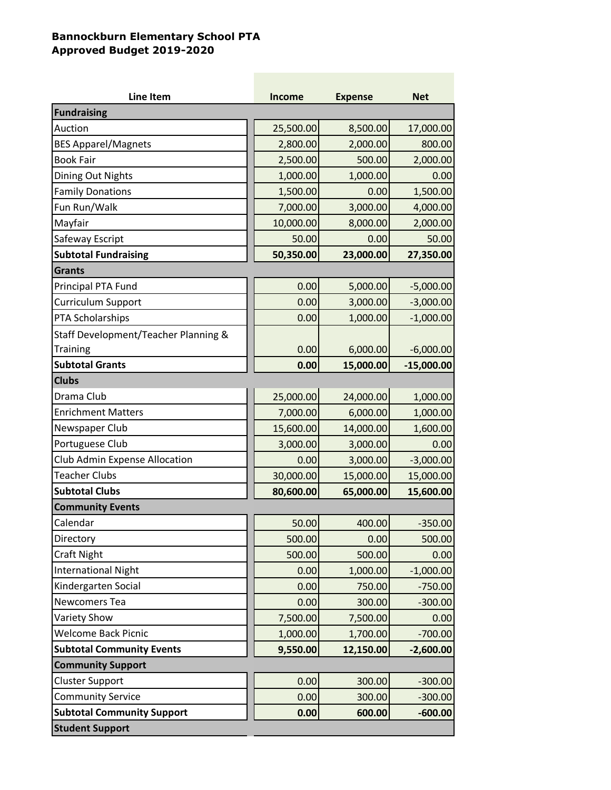## **Bannockburn Elementary School PTA Approved Budget 2019-2020**

| <b>Line Item</b>                     | <b>Income</b> | <b>Expense</b> | <b>Net</b>   |
|--------------------------------------|---------------|----------------|--------------|
| <b>Fundraising</b>                   |               |                |              |
| Auction                              | 25,500.00     | 8,500.00       | 17,000.00    |
| <b>BES Apparel/Magnets</b>           | 2,800.00      | 2,000.00       | 800.00       |
| <b>Book Fair</b>                     | 2,500.00      | 500.00         | 2,000.00     |
| Dining Out Nights                    | 1,000.00      | 1,000.00       | 0.00         |
| <b>Family Donations</b>              | 1,500.00      | 0.00           | 1,500.00     |
| Fun Run/Walk                         | 7,000.00      | 3,000.00       | 4,000.00     |
| Mayfair                              | 10,000.00     | 8,000.00       | 2,000.00     |
| Safeway Escript                      | 50.00         | 0.00           | 50.00        |
| <b>Subtotal Fundraising</b>          | 50,350.00     | 23,000.00      | 27,350.00    |
| <b>Grants</b>                        |               |                |              |
| Principal PTA Fund                   | 0.00          | 5,000.00       | $-5,000.00$  |
| Curriculum Support                   | 0.00          | 3,000.00       | $-3,000.00$  |
| PTA Scholarships                     | 0.00          | 1,000.00       | $-1,000.00$  |
| Staff Development/Teacher Planning & |               |                |              |
| <b>Training</b>                      | 0.00          | 6,000.00       | $-6,000.00$  |
| <b>Subtotal Grants</b>               | 0.00          | 15,000.00      | $-15,000.00$ |
| <b>Clubs</b>                         |               |                |              |
| Drama Club                           | 25,000.00     | 24,000.00      | 1,000.00     |
| <b>Enrichment Matters</b>            | 7,000.00      | 6,000.00       | 1,000.00     |
| Newspaper Club                       | 15,600.00     | 14,000.00      | 1,600.00     |
| Portuguese Club                      | 3,000.00      | 3,000.00       | 0.00         |
| Club Admin Expense Allocation        | 0.00          | 3,000.00       | $-3,000.00$  |
| <b>Teacher Clubs</b>                 | 30,000.00     | 15,000.00      | 15,000.00    |
| <b>Subtotal Clubs</b>                | 80,600.00     | 65,000.00      | 15,600.00    |
| <b>Community Events</b>              |               |                |              |
| Calendar                             | 50.00         | 400.00         | $-350.00$    |
| Directory                            | 500.00        | 0.00           | 500.00       |
| <b>Craft Night</b>                   | 500.00        | 500.00         | 0.00         |
| <b>International Night</b>           | 0.00          | 1,000.00       | $-1,000.00$  |
| Kindergarten Social                  | 0.00          | 750.00         | $-750.00$    |
| Newcomers Tea                        | 0.00          | 300.00         | $-300.00$    |
| <b>Variety Show</b>                  | 7,500.00      | 7,500.00       | 0.00         |
| <b>Welcome Back Picnic</b>           | 1,000.00      | 1,700.00       | $-700.00$    |
| <b>Subtotal Community Events</b>     | 9,550.00      | 12,150.00      | $-2,600.00$  |
| <b>Community Support</b>             |               |                |              |
| <b>Cluster Support</b>               | 0.00          | 300.00         | $-300.00$    |
| <b>Community Service</b>             | 0.00          | 300.00         | $-300.00$    |
| <b>Subtotal Community Support</b>    | 0.00          | 600.00         | $-600.00$    |
| <b>Student Support</b>               |               |                |              |